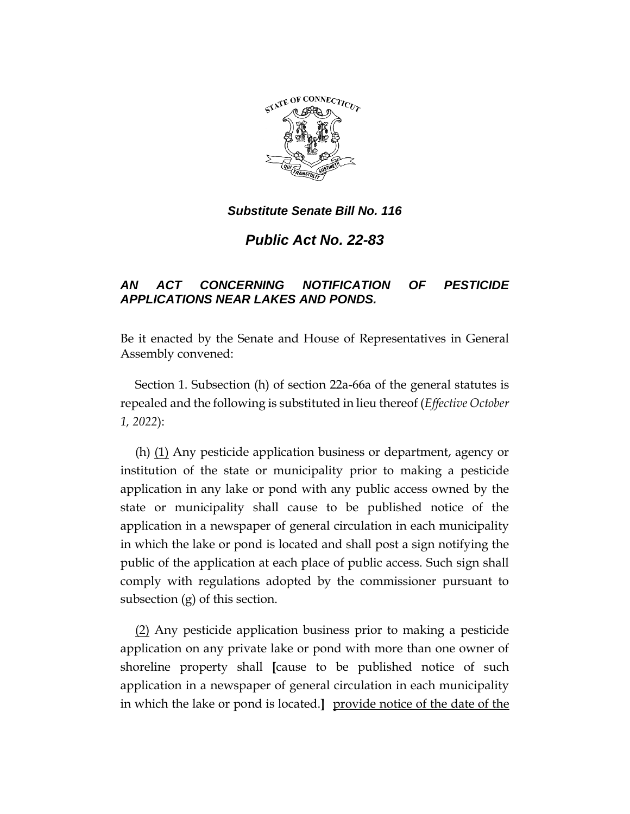

*Substitute Senate Bill No. 116*

*Public Act No. 22-83*

## *AN ACT CONCERNING NOTIFICATION OF PESTICIDE APPLICATIONS NEAR LAKES AND PONDS.*

Be it enacted by the Senate and House of Representatives in General Assembly convened:

Section 1. Subsection (h) of section 22a-66a of the general statutes is repealed and the following is substituted in lieu thereof (*Effective October 1, 2022*):

(h) (1) Any pesticide application business or department, agency or institution of the state or municipality prior to making a pesticide application in any lake or pond with any public access owned by the state or municipality shall cause to be published notice of the application in a newspaper of general circulation in each municipality in which the lake or pond is located and shall post a sign notifying the public of the application at each place of public access. Such sign shall comply with regulations adopted by the commissioner pursuant to subsection (g) of this section.

(2) Any pesticide application business prior to making a pesticide application on any private lake or pond with more than one owner of shoreline property shall **[**cause to be published notice of such application in a newspaper of general circulation in each municipality in which the lake or pond is located.**]** provide notice of the date of the